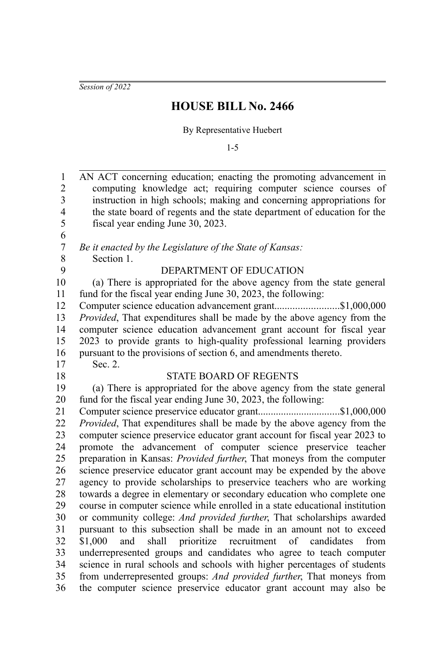*Session of 2022*

## **HOUSE BILL No. 2466**

## By Representative Huebert

1-5

| $\mathbf{1}$            | AN ACT concerning education; enacting the promoting advancement in             |
|-------------------------|--------------------------------------------------------------------------------|
| $\overline{c}$          | computing knowledge act; requiring computer science courses of                 |
| $\overline{\mathbf{3}}$ | instruction in high schools; making and concerning appropriations for          |
| $\overline{\mathbf{4}}$ | the state board of regents and the state department of education for the       |
| 5                       | fiscal year ending June 30, 2023.                                              |
| 6                       |                                                                                |
| $\boldsymbol{7}$        | Be it enacted by the Legislature of the State of Kansas:                       |
| 8                       | Section 1.                                                                     |
| 9                       | DEPARTMENT OF EDUCATION                                                        |
| 10                      | (a) There is appropriated for the above agency from the state general          |
| 11                      | fund for the fiscal year ending June 30, 2023, the following:                  |
| 12                      | Computer science education advancement grant\$1,000,000                        |
| 13                      | Provided, That expenditures shall be made by the above agency from the         |
| 14                      | computer science education advancement grant account for fiscal year           |
| 15                      | 2023 to provide grants to high-quality professional learning providers         |
| 16                      | pursuant to the provisions of section 6, and amendments thereto.               |
| 17                      | Sec. 2.                                                                        |
| 18                      | <b>STATE BOARD OF REGENTS</b>                                                  |
| 19                      | (a) There is appropriated for the above agency from the state general          |
| 20                      | fund for the fiscal year ending June 30, 2023, the following:                  |
| 21                      |                                                                                |
| 22                      | Provided, That expenditures shall be made by the above agency from the         |
| 23                      | computer science preservice educator grant account for fiscal year 2023 to     |
| 24                      | promote the advancement of computer science preservice teacher                 |
| 25                      | preparation in Kansas: <i>Provided further</i> , That moneys from the computer |
| 26                      | science preservice educator grant account may be expended by the above         |
| 27                      | agency to provide scholarships to preservice teachers who are working          |
| 28                      | towards a degree in elementary or secondary education who complete one         |
| 29                      | course in computer science while enrolled in a state educational institution   |
| 30                      | or community college: And provided further, That scholarships awarded          |
| 31                      | pursuant to this subsection shall be made in an amount not to exceed           |
| 32                      | and shall prioritize recruitment of candidates<br>\$1,000<br>from              |
| 33                      | underrepresented groups and candidates who agree to teach computer             |
| 34                      | science in rural schools and schools with higher percentages of students       |
| 35                      | from underrepresented groups: And provided further, That moneys from           |
| 36                      | the computer science preservice educator grant account may also be             |
|                         |                                                                                |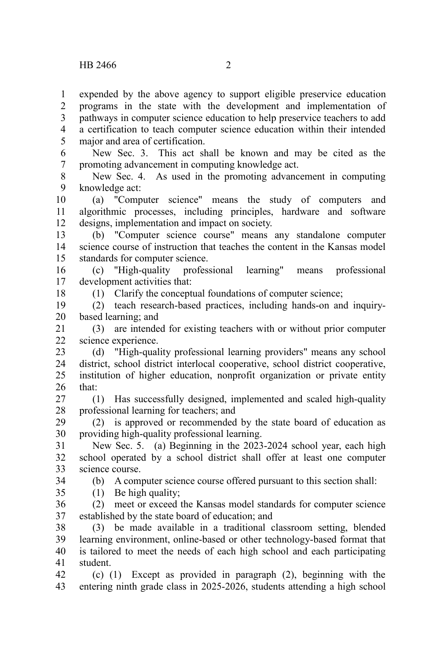expended by the above agency to support eligible preservice education programs in the state with the development and implementation of pathways in computer science education to help preservice teachers to add a certification to teach computer science education within their intended major and area of certification. 1 2 3 4 5

New Sec. 3. This act shall be known and may be cited as the promoting advancement in computing knowledge act. 6 7

New Sec. 4. As used in the promoting advancement in computing knowledge act: 8 9

(a) "Computer science" means the study of computers and algorithmic processes, including principles, hardware and software designs, implementation and impact on society. 10 11 12

(b) "Computer science course" means any standalone computer science course of instruction that teaches the content in the Kansas model standards for computer science. 13 14 15

(c) "High-quality professional learning" means professional development activities that: 16 17

(1) Clarify the conceptual foundations of computer science;

(2) teach research-based practices, including hands-on and inquirybased learning; and 19 20

(3) are intended for existing teachers with or without prior computer science experience. 21 22

(d) "High-quality professional learning providers" means any school district, school district interlocal cooperative, school district cooperative, institution of higher education, nonprofit organization or private entity that: 23 24 25 26

(1) Has successfully designed, implemented and scaled high-quality professional learning for teachers; and 27 28

(2) is approved or recommended by the state board of education as providing high-quality professional learning. 29 30

New Sec. 5. (a) Beginning in the 2023-2024 school year, each high school operated by a school district shall offer at least one computer science course. 31 32 33

34

18

(b) A computer science course offered pursuant to this section shall:

(1) Be high quality; 35

(2) meet or exceed the Kansas model standards for computer science established by the state board of education; and 36 37

(3) be made available in a traditional classroom setting, blended learning environment, online-based or other technology-based format that is tailored to meet the needs of each high school and each participating student. 38 39 40 41

(c) (1) Except as provided in paragraph (2), beginning with the entering ninth grade class in 2025-2026, students attending a high school 42 43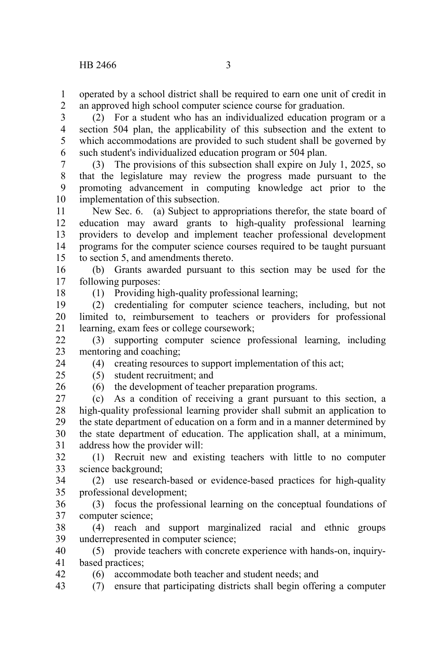operated by a school district shall be required to earn one unit of credit in an approved high school computer science course for graduation. 1 2

(2) For a student who has an individualized education program or a section 504 plan, the applicability of this subsection and the extent to which accommodations are provided to such student shall be governed by such student's individualized education program or 504 plan. 3 4 5 6

(3) The provisions of this subsection shall expire on July 1, 2025, so that the legislature may review the progress made pursuant to the promoting advancement in computing knowledge act prior to the implementation of this subsection. 7 8 9 10

New Sec. 6. (a) Subject to appropriations therefor, the state board of education may award grants to high-quality professional learning providers to develop and implement teacher professional development programs for the computer science courses required to be taught pursuant to section 5, and amendments thereto. 11 12 13 14 15

(b) Grants awarded pursuant to this section may be used for the following purposes: 16 17

18

(1) Providing high-quality professional learning;

(2) credentialing for computer science teachers, including, but not limited to, reimbursement to teachers or providers for professional learning, exam fees or college coursework; 19 20 21

(3) supporting computer science professional learning, including mentoring and coaching; 22 23

(4) creating resources to support implementation of this act;

(5) student recruitment; and

 $25$ 26

42

24

(6) the development of teacher preparation programs.

(c) As a condition of receiving a grant pursuant to this section, a high-quality professional learning provider shall submit an application to the state department of education on a form and in a manner determined by the state department of education. The application shall, at a minimum, address how the provider will: 27 28 29 30 31

(1) Recruit new and existing teachers with little to no computer science background; 32 33

(2) use research-based or evidence-based practices for high-quality professional development; 34 35

(3) focus the professional learning on the conceptual foundations of computer science; 36 37

(4) reach and support marginalized racial and ethnic groups underrepresented in computer science; 38 39

(5) provide teachers with concrete experience with hands-on, inquirybased practices; 40 41

(6) accommodate both teacher and student needs; and

(7) ensure that participating districts shall begin offering a computer 43